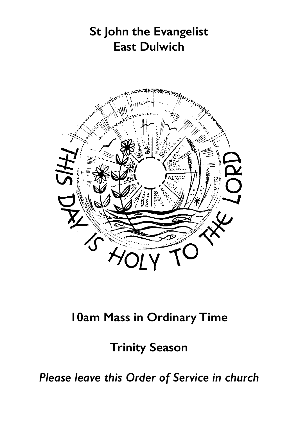

# **10am Mass in Ordinary Time**

**Trinity Season**

*Please leave this Order of Service in church*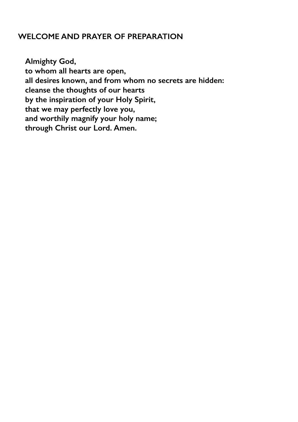## **WELCOME AND PRAYER OF PREPARATION**

**Almighty God, to whom all hearts are open, all desires known, and from whom no secrets are hidden: cleanse the thoughts of our hearts by the inspiration of your Holy Spirit, that we may perfectly love you, and worthily magnify your holy name; through Christ our Lord. Amen.**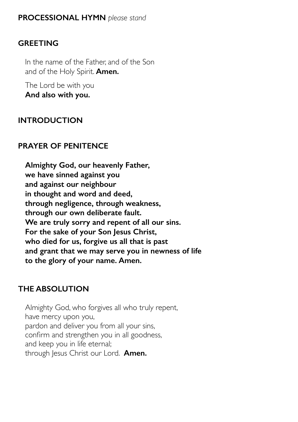#### **GREETING**

In the name of the Father, and of the Son and of the Holy Spirit. **Amen.**

The Lord be with you **And also with you.**

# **INTRODUCTION**

# **PRAYER OF PENITENCE**

**Almighty God, our heavenly Father, we have sinned against you and against our neighbour in thought and word and deed, through negligence, through weakness, through our own deliberate fault. We are truly sorry and repent of all our sins. For the sake of your Son Jesus Christ, who died for us, forgive us all that is past and grant that we may serve you in newness of life to the glory of your name. Amen.**

# **THE ABSOLUTION**

Almighty God, who forgives all who truly repent, have mercy upon you, pardon and deliver you from all your sins, confirm and strengthen you in all goodness, and keep you in life eternal; through Jesus Christ our Lord. **Amen.**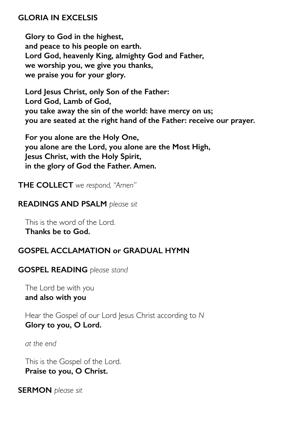#### **GLORIA IN EXCELSIS**

**Glory to God in the highest, and peace to his people on earth. Lord God, heavenly King, almighty God and Father, we worship you, we give you thanks, we praise you for your glory.**

**Lord Jesus Christ, only Son of the Father: Lord God, Lamb of God, you take away the sin of the world: have mercy on us; you are seated at the right hand of the Father: receive our prayer.**

**For you alone are the Holy One, you alone are the Lord, you alone are the Most High, Jesus Christ, with the Holy Spirit, in the glory of God the Father. Amen.**

**THE COLLECT** *we respond, "Amen"* 

#### **READINGS AND PSALM** *please sit*

This is the word of the Lord. **Thanks be to God.**

## **GOSPEL ACCLAMATION or GRADUAL HYMN**

#### **GOSPEL READING** *please stand*

The Lord be with you **and also with you**

Hear the Gospel of our Lord Jesus Christ according to *N*  **Glory to you, O Lord.**

*at the end* 

This is the Gospel of the Lord. **Praise to you, O Christ.**

**SERMON** *please sit*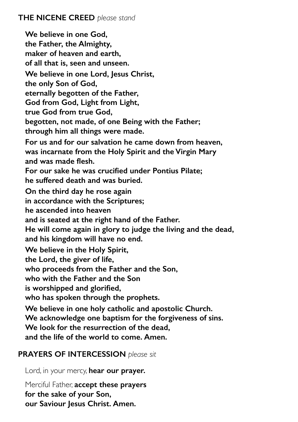**We believe in one God, the Father, the Almighty, maker of heaven and earth, of all that is, seen and unseen. We believe in one Lord, Jesus Christ, the only Son of God, eternally begotten of the Father, God from God, Light from Light, true God from true God, begotten, not made, of one Being with the Father; through him all things were made. For us and for our salvation he came down from heaven, was incarnate from the Holy Spirit and the Virgin Mary and was made flesh. For our sake he was crucified under Pontius Pilate; he suffered death and was buried. On the third day he rose again in accordance with the Scriptures; he ascended into heaven and is seated at the right hand of the Father. He will come again in glory to judge the living and the dead, and his kingdom will have no end. We believe in the Holy Spirit, the Lord, the giver of life, who proceeds from the Father and the Son, who with the Father and the Son is worshipped and glorified, who has spoken through the prophets. We believe in one holy catholic and apostolic Church. We acknowledge one baptism for the forgiveness of sins. We look for the resurrection of the dead, and the life of the world to come. Amen.**

## **PRAYERS OF INTERCESSION** *please sit*

Lord, in your mercy, **hear our prayer.**

Merciful Father, **accept these prayers for the sake of your Son, our Saviour Jesus Christ. Amen.**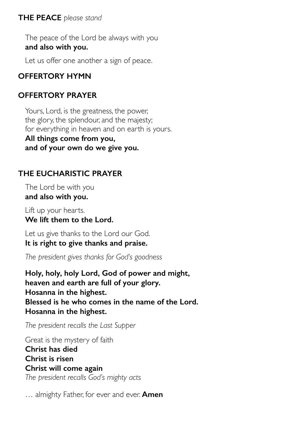#### **THE PEACE** *please stand*

The peace of the Lord be always with you **and also with you.**

Let us offer one another a sign of peace.

# **OFFERTORY HYMN**

# **OFFERTORY PRAYER**

Yours, Lord, is the greatness, the power, the glory, the splendour, and the majesty; for everything in heaven and on earth is yours.

**All things come from you, and of your own do we give you.**

# **THE EUCHARISTIC PRAYER**

The Lord be with you **and also with you.**

Lift up your hearts. **We lift them to the Lord.**

Let us give thanks to the Lord our God. **It is right to give thanks and praise.**

*The president gives thanks for God's goodness* 

**Holy, holy, holy Lord, God of power and might, heaven and earth are full of your glory. Hosanna in the highest. Blessed is he who comes in the name of the Lord. Hosanna in the highest.**

*The president recalls the Last Supper* 

Great is the mystery of faith **Christ has died Christ is risen Christ will come again** *The president recalls God's mighty acts* 

… almighty Father, for ever and ever. **Amen**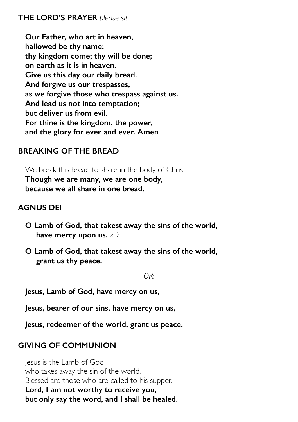#### **THE LORD'S PRAYER** *please sit*

**Our Father, who art in heaven, hallowed be thy name; thy kingdom come; thy will be done; on earth as it is in heaven. Give us this day our daily bread. And forgive us our trespasses, as we forgive those who trespass against us. And lead us not into temptation; but deliver us from evil. For thine is the kingdom, the power, and the glory for ever and ever. Amen**

## **BREAKING OF THE BREAD**

We break this bread to share in the body of Christ **Though we are many, we are one body, because we all share in one bread.**

## **AGNUS DEI**

- **O Lamb of God, that takest away the sins of the world, have mercy upon us.** *x 2*
- **O Lamb of God, that takest away the sins of the world, grant us thy peace.**

*OR:* 

**Jesus, Lamb of God, have mercy on us,**

**Jesus, bearer of our sins, have mercy on us,**

**Jesus, redeemer of the world, grant us peace.**

# **GIVING OF COMMUNION**

Jesus is the Lamb of God who takes away the sin of the world. Blessed are those who are called to his supper. **Lord, I am not worthy to receive you, but only say the word, and I shall be healed.**